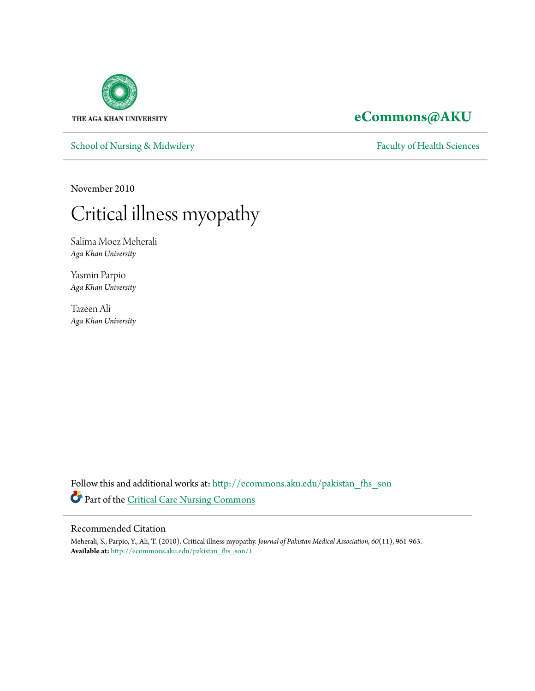

[School of Nursing & Midwifery](http://ecommons.aku.edu/pakistan_fhs_son?utm_source=ecommons.aku.edu%2Fpakistan_fhs_son%2F1&utm_medium=PDF&utm_campaign=PDFCoverPages) [Faculty of Health Sciences](http://ecommons.aku.edu/pakistan_fhs?utm_source=ecommons.aku.edu%2Fpakistan_fhs_son%2F1&utm_medium=PDF&utm_campaign=PDFCoverPages)

# **[eCommons@AKU](http://ecommons.aku.edu?utm_source=ecommons.aku.edu%2Fpakistan_fhs_son%2F1&utm_medium=PDF&utm_campaign=PDFCoverPages)**

November 2010

# Critical illness myopathy

Salima Moez Meherali *Aga Khan University*

Yasmin Parpio *Aga Khan University*

Tazeen Ali *Aga Khan University*

Follow this and additional works at: [http://ecommons.aku.edu/pakistan\\_fhs\\_son](http://ecommons.aku.edu/pakistan_fhs_son?utm_source=ecommons.aku.edu%2Fpakistan_fhs_son%2F1&utm_medium=PDF&utm_campaign=PDFCoverPages) Part of the [Critical Care Nursing Commons](http://network.bepress.com/hgg/discipline/727?utm_source=ecommons.aku.edu%2Fpakistan_fhs_son%2F1&utm_medium=PDF&utm_campaign=PDFCoverPages)

# Recommended Citation

Meherali, S., Parpio, Y., Ali, T. (2010). Critical illness myopathy. *Journal of Pakistan Medical Association, 60*(11), 961-963. **Available at:** [http://ecommons.aku.edu/pakistan\\_fhs\\_son/1](http://ecommons.aku.edu/pakistan_fhs_son/1)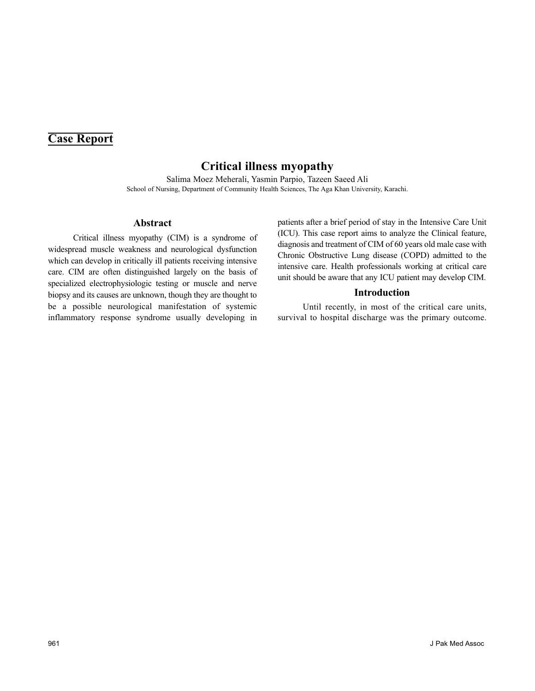# **Case Report**

# **Critical illness myopathy**

Salima Moez Meherali, Yasmin Parpio, Tazeen Saeed Ali School of Nursing, Department of Community Health Sciences, The Aga Khan University, Karachi.

#### **Abstract**

Critical illness myopathy (CIM) is a syndrome of widespread muscle weakness and neurological dysfunction which can develop in critically ill patients receiving intensive care. CIM are often distinguished largely on the basis of specialized electrophysiologic testing or muscle and nerve biopsy and its causes are unknown, though they are thought to be a possible neurological manifestation of systemic inflammatory response syndrome usually developing in

patients after a brief period of stay in the Intensive Care Unit (ICU). This case report aims to analyze the Clinical feature, diagnosis and treatment of CIM of 60 years old male case with Chronic Obstructive Lung disease (COPD) admitted to the intensive care. Health professionals working at critical care unit should be aware that any ICU patient may develop CIM.

## **Introduction**

Until recently, in most of the critical care units, survival to hospital discharge was the primary outcome.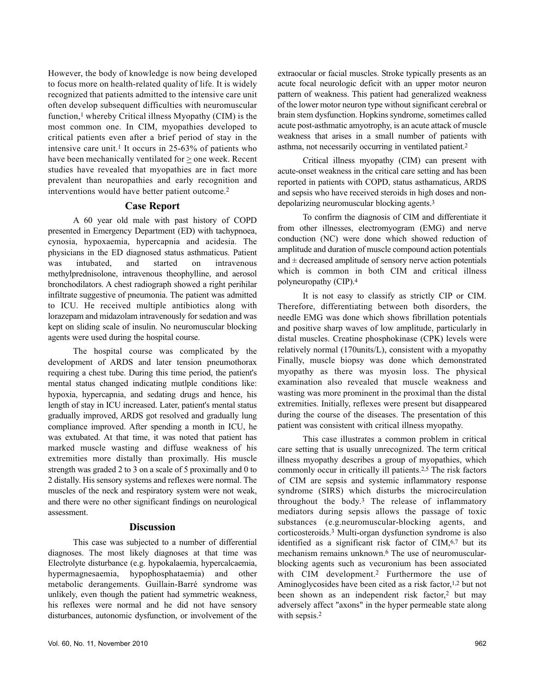However, the body of knowledge is now being developed to focus more on health-related quality of life. It is widely recognized that patients admitted to the intensive care unit often develop subsequent difficulties with neuromuscular function, $<sup>1</sup>$  whereby Critical illness Myopathy (CIM) is the</sup> most common one. In CIM, myopathies developed to critical patients even after a brief period of stay in the intensive care unit.<sup>1</sup> It occurs in  $25-63%$  of patients who have been mechanically ventilated for  $\geq$  one week. Recent studies have revealed that myopathies are in fact more prevalent than neuropathies and early recognition and interventions would have better patient outcome.<sup>2</sup>

## **Case Report**

A 60 year old male with past history of COPD presented in Emergency Department (ED) with tachypnoea, cynosia, hypoxaemia, hypercapnia and acidesia. The physicians in the ED diagnosed status asthmaticus. Patient was intubated, and started on intravenous methylprednisolone, intravenous theophylline, and aerosol bronchodilators. A chest radiograph showed a right perihilar infiltrate suggestive of pneumonia. The patient was admitted to ICU. He received multiple antibiotics along with lorazepam and midazolam intravenously for sedation and was kept on sliding scale of insulin. No neuromuscular blocking agents were used during the hospital course.

The hospital course was complicated by the development of ARDS and later tension pneumothorax requiring a chest tube. During this time period, the patient's mental status changed indicating mutlple conditions like: hypoxia, hypercapnia, and sedating drugs and hence, his length of stay in ICU increased. Later, patient's mental status gradually improved, ARDS got resolved and gradually lung compliance improved. After spending a month in ICU, he was extubated. At that time, it was noted that patient has marked muscle wasting and diffuse weakness of his extremities more distally than proximally. His muscle strength was graded 2 to 3 on a scale of 5 proximally and 0 to 2 distally. His sensory systems and reflexes were normal. The muscles of the neck and respiratory system were not weak, and there were no other significant findings on neurological assessment.

## **Discussion**

This case was subjected to a number of differential diagnoses. The most likely diagnoses at that time was Electrolyte disturbance (e.g. hypokalaemia, hypercalcaemia, hypermagnesaemia, hypophosphataemia) and other metabolic derangements. Guillain-Barré syndrome was unlikely, even though the patient had symmetric weakness, his reflexes were normal and he did not have sensory disturbances, autonomic dysfunction, or involvement of the

extraocular or facial muscles. Stroke typically presents as an acute focal neurologic deficit with an upper motor neuron pattern of weakness. This patient had generalized weakness of the lower motor neuron type without significant cerebral or brain stem dysfunction. Hopkins syndrome, sometimes called acute post-asthmatic amyotrophy, is an acute attack of muscle weakness that arises in a small number of patients with asthma, not necessarily occurring in ventilated patient.<sup>2</sup>

Critical illness myopathy (CIM) can present with acute-onset weakness in the critical care setting and has been reported in patients with COPD, status asthamaticus, ARDS and sepsis who have received steroids in high doses and nondepolarizing neuromuscular blocking agents.<sup>3</sup>

To confirm the diagnosis of CIM and differentiate it from other illnesses, electromyogram (EMG) and nerve conduction (NC) were done which showed reduction of amplitude and duration of muscle compound action potentials and  $\pm$  decreased amplitude of sensory nerve action potentials which is common in both CIM and critical illness polyneuropathy (CIP).<sup>4</sup>

It is not easy to classify as strictly CIP or CIM. Therefore, differentiating between both disorders, the needle EMG was done which shows fibrillation potentials and positive sharp waves of low amplitude, particularly in distal muscles. Creatine phosphokinase (CPK) levels were relatively normal (170units/L), consistent with a myopathy Finally, muscle biopsy was done which demonstrated myopathy as there was myosin loss. The physical examination also revealed that muscle weakness and wasting was more prominent in the proximal than the distal extremities. Initially, reflexes were present but disappeared during the course of the diseases. The presentation of this patient was consistent with critical illness myopathy.

This case illustrates a common problem in critical care setting that is usually unrecognized. The term critical illness myopathy describes a group of myopathies, which commonly occur in critically ill patients.2,5 The risk factors of CIM are sepsis and systemic inflammatory response syndrome (SIRS) which disturbs the microcirculation throughout the body.<sup>3</sup> The release of inflammatory mediators during sepsis allows the passage of toxic substances (e.g.neuromuscular-blocking agents, and corticosteroids.<sup>3</sup> Multi-organ dysfunction syndrome is also identified as a significant risk factor of CIM,6,7 but its mechanism remains unknown.<sup>6</sup> The use of neuromuscularblocking agents such as vecuronium has been associated with CIM development.<sup>2</sup> Furthermore the use of Aminoglycosides have been cited as a risk factor,<sup>1,2</sup> but not been shown as an independent risk factor,<sup>2</sup> but may adversely affect "axons" in the hyper permeable state along with sepsis.<sup>2</sup>